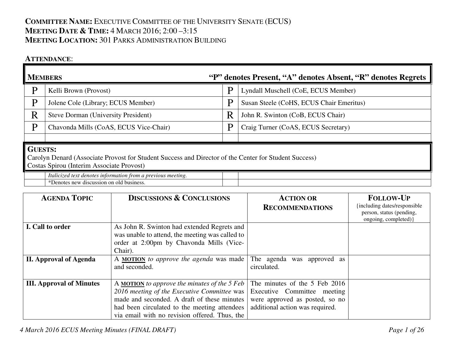# **COMMITTEE NAME:** <sup>E</sup>XECUTIVE COMMITTEE OF THE UNIVERSITY SENATE (ECUS) **MEETING DATE & <sup>T</sup>IME:** <sup>4</sup> <sup>M</sup>ARCH 2016; 2:00 –3:15 **MEETING LOCATION:** <sup>301</sup> <sup>P</sup>ARKS ADMINISTRATION BUILDING

#### **ATTENDANCE**:

| <b>MEMBERS</b><br>"P" denotes Present, "A" denotes Absent, "R" denotes Regrets |                                                                                                                                                                      |   |                                          |
|--------------------------------------------------------------------------------|----------------------------------------------------------------------------------------------------------------------------------------------------------------------|---|------------------------------------------|
| Þ                                                                              | Kelli Brown (Provost)                                                                                                                                                | D | Lyndall Muschell (CoE, ECUS Member)      |
| P                                                                              | Jolene Cole (Library; ECUS Member)                                                                                                                                   | P | Susan Steele (CoHS, ECUS Chair Emeritus) |
| $\rm R$                                                                        | Steve Dorman (University President)                                                                                                                                  | R | John R. Swinton (CoB, ECUS Chair)        |
| $\mathbf{p}$                                                                   | Chavonda Mills (CoAS, ECUS Vice-Chair)                                                                                                                               | P | Craig Turner (CoAS, ECUS Secretary)      |
|                                                                                |                                                                                                                                                                      |   |                                          |
|                                                                                | <b>GUESTS:</b><br>Carolyn Denard (Associate Provost for Student Success and Director of the Center for Student Success)<br>Costas Spirou (Interim Associate Provost) |   |                                          |
|                                                                                | Italicized text denotes information from a previous meeting.                                                                                                         |   |                                          |
|                                                                                | *Denotes new discussion on old business.                                                                                                                             |   |                                          |

| <b>AGENDA TOPIC</b>             | <b>DISCUSSIONS &amp; CONCLUSIONS</b>                                                                                                                                                                                                               | <b>ACTION OR</b><br><b>RECOMMENDATIONS</b>                                                                                        | <b>FOLLOW-UP</b><br>{including dates/responsible<br>person, status (pending,<br>ongoing, completed) } |
|---------------------------------|----------------------------------------------------------------------------------------------------------------------------------------------------------------------------------------------------------------------------------------------------|-----------------------------------------------------------------------------------------------------------------------------------|-------------------------------------------------------------------------------------------------------|
| I. Call to order                | As John R. Swinton had extended Regrets and<br>was unable to attend, the meeting was called to<br>order at 2:00pm by Chavonda Mills (Vice-<br>Chair).                                                                                              |                                                                                                                                   |                                                                                                       |
| <b>II. Approval of Agenda</b>   | A <b>MOTION</b> to approve the agenda was made<br>and seconded.                                                                                                                                                                                    | The agenda was approved as<br>circulated.                                                                                         |                                                                                                       |
| <b>III. Approval of Minutes</b> | A <b>MOTION</b> to approve the minutes of the 5 Feb<br>2016 meeting of the Executive Committee was<br>made and seconded. A draft of these minutes<br>had been circulated to the meeting attendees<br>via email with no revision offered. Thus, the | The minutes of the 5 Feb 2016<br>Executive Committee meeting<br>were approved as posted, so no<br>additional action was required. |                                                                                                       |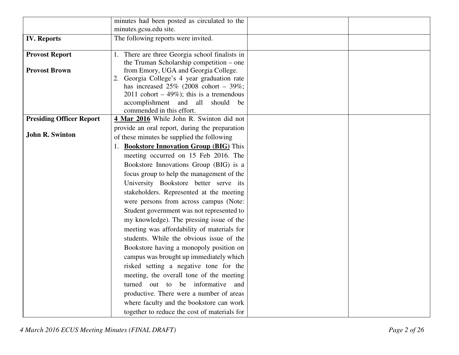|                                 | minutes had been posted as circulated to the                                     |  |
|---------------------------------|----------------------------------------------------------------------------------|--|
|                                 | minutes.gcsu.edu site.                                                           |  |
| <b>IV. Reports</b>              | The following reports were invited.                                              |  |
| <b>Provost Report</b>           | There are three Georgia school finalists in                                      |  |
| <b>Provost Brown</b>            | the Truman Scholarship competition – one<br>from Emory, UGA and Georgia College. |  |
|                                 | Georgia College's 4 year graduation rate                                         |  |
|                                 | has increased $25\%$ (2008 cohort – 39%;                                         |  |
|                                 | 2011 cohort $-49\%$ ); this is a tremendous                                      |  |
|                                 | accomplishment and all should be                                                 |  |
|                                 | commended in this effort.                                                        |  |
| <b>Presiding Officer Report</b> | 4 Mar 2016 While John R. Swinton did not                                         |  |
|                                 | provide an oral report, during the preparation                                   |  |
| <b>John R. Swinton</b>          | of these minutes he supplied the following                                       |  |
|                                 | <b>Bookstore Innovation Group (BIG)</b> This                                     |  |
|                                 | meeting occurred on 15 Feb 2016. The                                             |  |
|                                 | Bookstore Innovations Group (BIG) is a                                           |  |
|                                 | focus group to help the management of the                                        |  |
|                                 | University Bookstore better serve its                                            |  |
|                                 | stakeholders. Represented at the meeting                                         |  |
|                                 | were persons from across campus (Note:                                           |  |
|                                 | Student government was not represented to                                        |  |
|                                 | my knowledge). The pressing issue of the                                         |  |
|                                 | meeting was affordability of materials for                                       |  |
|                                 | students. While the obvious issue of the                                         |  |
|                                 | Bookstore having a monopoly position on                                          |  |
|                                 | campus was brought up immediately which                                          |  |
|                                 | risked setting a negative tone for the                                           |  |
|                                 | meeting, the overall tone of the meeting                                         |  |
|                                 | turned out to be informative and                                                 |  |
|                                 | productive. There were a number of areas                                         |  |
|                                 | where faculty and the bookstore can work                                         |  |
|                                 | together to reduce the cost of materials for                                     |  |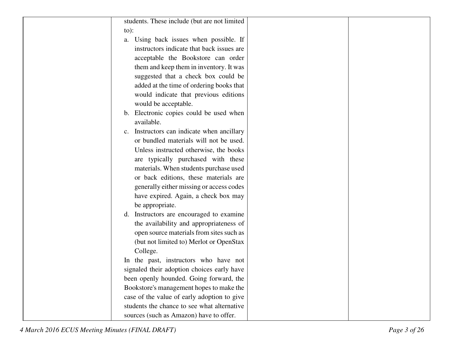| students. These include (but are not limited |
|----------------------------------------------|
| $to)$ :                                      |
| a. Using back issues when possible. If       |
| instructors indicate that back issues are    |
| acceptable the Bookstore can order           |
| them and keep them in inventory. It was      |
| suggested that a check box could be          |
| added at the time of ordering books that     |
| would indicate that previous editions        |
| would be acceptable.                         |
| b. Electronic copies could be used when      |
| available.                                   |
| c. Instructors can indicate when ancillary   |
| or bundled materials will not be used.       |
| Unless instructed otherwise, the books       |
| are typically purchased with these           |
| materials. When students purchase used       |
| or back editions, these materials are        |
| generally either missing or access codes     |
| have expired. Again, a check box may         |
| be appropriate.                              |
| d. Instructors are encouraged to examine     |
| the availability and appropriateness of      |
| open source materials from sites such as     |
| (but not limited to) Merlot or OpenStax      |
| College.                                     |
| In the past, instructors who have not        |
| signaled their adoption choices early have   |
| been openly hounded. Going forward, the      |
| Bookstore's management hopes to make the     |
| case of the value of early adoption to give  |
| students the chance to see what alternative  |
| sources (such as Amazon) have to offer.      |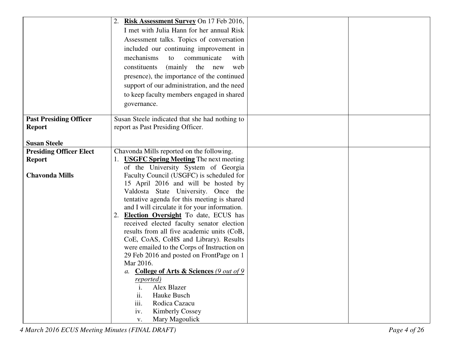|                                | Risk Assessment Survey On 17 Feb 2016,                                                             |  |
|--------------------------------|----------------------------------------------------------------------------------------------------|--|
|                                | I met with Julia Hann for her annual Risk                                                          |  |
|                                | Assessment talks. Topics of conversation                                                           |  |
|                                | included our continuing improvement in                                                             |  |
|                                | mechanisms<br>communicate<br>with<br>to                                                            |  |
|                                |                                                                                                    |  |
|                                | (mainly the new<br>constituents<br>web                                                             |  |
|                                | presence), the importance of the continued                                                         |  |
|                                | support of our administration, and the need                                                        |  |
|                                | to keep faculty members engaged in shared                                                          |  |
|                                | governance.                                                                                        |  |
|                                |                                                                                                    |  |
| <b>Past Presiding Officer</b>  | Susan Steele indicated that she had nothing to<br>report as Past Presiding Officer.                |  |
| <b>Report</b>                  |                                                                                                    |  |
| <b>Susan Steele</b>            |                                                                                                    |  |
| <b>Presiding Officer Elect</b> | Chavonda Mills reported on the following.                                                          |  |
| <b>Report</b>                  | 1. <b>USGFC Spring Meeting</b> The next meeting                                                    |  |
|                                | of the University System of Georgia                                                                |  |
| <b>Chavonda Mills</b>          | Faculty Council (USGFC) is scheduled for                                                           |  |
|                                | 15 April 2016 and will be hosted by                                                                |  |
|                                | Valdosta State University. Once the                                                                |  |
|                                | tentative agenda for this meeting is shared                                                        |  |
|                                | and I will circulate it for your information.<br><b>Election Oversight</b> To date, ECUS has<br>2. |  |
|                                | received elected faculty senator election                                                          |  |
|                                | results from all five academic units (CoB,                                                         |  |
|                                | CoE, CoAS, CoHS and Library). Results                                                              |  |
|                                | were emailed to the Corps of Instruction on                                                        |  |
|                                | 29 Feb 2016 and posted on FrontPage on 1                                                           |  |
|                                | Mar 2016.                                                                                          |  |
|                                | a. College of Arts & Sciences (9 out of 9                                                          |  |
|                                | reported)                                                                                          |  |
|                                | Alex Blazer<br>$\mathbf{1}$ .                                                                      |  |
|                                | ii.<br>Hauke Busch                                                                                 |  |
|                                | iii.<br>Rodica Cazacu                                                                              |  |
|                                | <b>Kimberly Cossey</b><br>iv.                                                                      |  |
|                                | Mary Magoulick<br>V.                                                                               |  |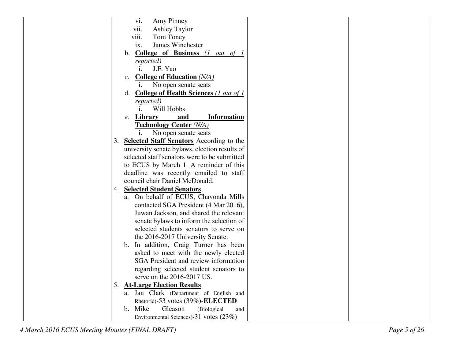| vi.<br>Amy Pinney                                     |
|-------------------------------------------------------|
| <b>Ashley Taylor</b><br>vii.                          |
| viii.<br>Tom Toney                                    |
| James Winchester<br>ix.                               |
| <b>College of Business</b> (1 out of 1<br>b.          |
| <i>reported</i> )                                     |
| J.F. Yao<br>i.                                        |
| <b>College of Education (N/A)</b><br>$\mathcal{C}$ .  |
| No open senate seats<br>$\mathbf{i}$ .                |
| d. College of Health Sciences (1 out of 1)            |
| <i>reported</i> )                                     |
| Will Hobbs<br>$\mathbf{1}$ .                          |
| e. Library<br><b>Information</b><br>and               |
| <b>Technology Center (N/A)</b>                        |
| No open senate seats<br>1.                            |
| <b>Selected Staff Senators</b> According to the<br>3. |
| university senate bylaws, election results of         |
| selected staff senators were to be submitted          |
| to ECUS by March 1. A reminder of this                |
| deadline was recently emailed to staff                |
| council chair Daniel McDonald.                        |
| <b>Selected Student Senators</b><br>4.                |
| a. On behalf of ECUS, Chavonda Mills                  |
| contacted SGA President (4 Mar 2016),                 |
| Juwan Jackson, and shared the relevant                |
| senate bylaws to inform the selection of              |
| selected students senators to serve on                |
| the 2016-2017 University Senate.                      |
| b. In addition, Craig Turner has been                 |
| asked to meet with the newly elected                  |
| SGA President and review information                  |
| regarding selected student senators to                |
| serve on the 2016-2017 US.                            |
| 5. At-Large Election Results                          |
| a. Jan Clark (Department of English and               |
| Rhetoric)-53 votes (39%)-ELECTED                      |
| b. Mike<br>Gleason<br>(Biological<br>and              |
| Environmental Sciences)-31 votes (23%)                |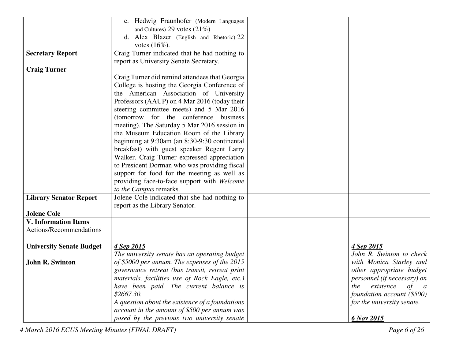|                                 | c. Hedwig Fraunhofer (Modern Languages          |                                                    |
|---------------------------------|-------------------------------------------------|----------------------------------------------------|
|                                 | and Cultures)-29 votes $(21\%)$                 |                                                    |
|                                 | d. Alex Blazer (English and Rhetoric)-22        |                                                    |
|                                 | votes $(16\%)$ .                                |                                                    |
| <b>Secretary Report</b>         | Craig Turner indicated that he had nothing to   |                                                    |
|                                 | report as University Senate Secretary.          |                                                    |
| <b>Craig Turner</b>             |                                                 |                                                    |
|                                 | Craig Turner did remind attendees that Georgia  |                                                    |
|                                 | College is hosting the Georgia Conference of    |                                                    |
|                                 | the American Association of University          |                                                    |
|                                 | Professors (AAUP) on 4 Mar 2016 (today their    |                                                    |
|                                 | steering committee meets) and 5 Mar 2016        |                                                    |
|                                 | (tomorrow for the conference business           |                                                    |
|                                 | meeting). The Saturday 5 Mar 2016 session in    |                                                    |
|                                 | the Museum Education Room of the Library        |                                                    |
|                                 | beginning at 9:30am (an 8:30-9:30 continental   |                                                    |
|                                 | breakfast) with guest speaker Regent Larry      |                                                    |
|                                 | Walker. Craig Turner expressed appreciation     |                                                    |
|                                 | to President Dorman who was providing fiscal    |                                                    |
|                                 | support for food for the meeting as well as     |                                                    |
|                                 | providing face-to-face support with Welcome     |                                                    |
|                                 | to the Campus remarks.                          |                                                    |
| <b>Library Senator Report</b>   | Jolene Cole indicated that she had nothing to   |                                                    |
|                                 | report as the Library Senator.                  |                                                    |
| <b>Jolene Cole</b>              |                                                 |                                                    |
| <b>V. Information Items</b>     |                                                 |                                                    |
| Actions/Recommendations         |                                                 |                                                    |
|                                 |                                                 |                                                    |
| <b>University Senate Budget</b> | 4 Sep 2015                                      | 4 Sep 2015                                         |
|                                 | The university senate has an operating budget   | John R. Swinton to check                           |
| <b>John R. Swinton</b>          | of \$5000 per annum. The expenses of the 2015   | with Monica Starley and                            |
|                                 | governance retreat (bus transit, retreat print  | other appropriate budget                           |
|                                 | materials, facilities use of Rock Eagle, etc.)  | <i>personnel</i> ( <i>if necessary</i> ) on        |
|                                 | have been paid. The current balance is          | existence<br>$\sigma f$<br>the<br>$\boldsymbol{a}$ |
|                                 | \$2667.30.                                      | foundation account (\$500)                         |
|                                 | A question about the existence of a foundations | for the university senate.                         |
|                                 | account in the amount of \$500 per annum was    |                                                    |
|                                 | posed by the previous two university senate     | 6 Nov 2015                                         |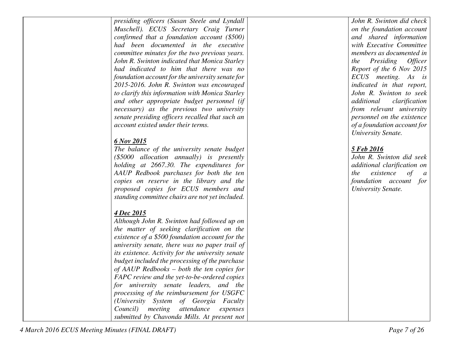*committee minutes for the two previous years. John R. Swinton indicated that Monica Starley had indicated to him that there was no foundation account for the university senate for 2015-2016. John R. Swinton was encouraged to clarify this information with Monica Starley and other appropriate budget personnel (if necessary) as the previous two university senate presiding officers recalled that such an account existed under their terms. 6 Nov 2015 The balance of the university senate budget (\$5000 allocation annually) is presently holding at 2667.30. The expenditures for AAUP Redbook purchases for both the ten copies on reserve in the library and the proposed copies for ECUS members and standing committee chairs are not yet included.4 Dec 2015* 

*presiding officers (Susan Steele and Lyndall Muschell). ECUS Secretary Craig Turner confirmed that a foundation account (\$500) had been documented in the executive* 

 *Although John R. Swinton had followed up on the matter of seeking clarification on the existence of a \$500 foundation account for the university senate, there was no paper trail of its existence. Activity for the university senate budget included the processing of the purchase of AAUP Redbooks – both the ten copies for FAPC review and the yet-to-be-ordered copies for university senate leaders, and the processing of the reimbursement for USGFC (University System of Georgia Faculty Council) meeting attendance expenses submitted by Chavonda Mills. At present not* 

*John R. Swinton did check on the foundation account and shared information with Executive Committee members as documented in the Presiding Officer Report of the 6 Nov 2015 ECUS meeting. As is indicated in that report, John R. Swinton to seek additional clarification from relevant university personnel on the existence of a foundation account for University Senate.*

#### *5 Feb 2016*

 *John R. Swinton did seek additional clarification on the existence of a foundation account for University Senate.*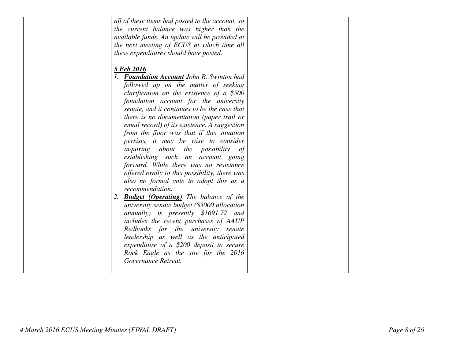| all of these items had posted to the account, so   |  |
|----------------------------------------------------|--|
| the current balance was higher than the            |  |
| available funds. An update will be provided at     |  |
| the next meeting of ECUS at which time all         |  |
| these expenditures should have posted.             |  |
|                                                    |  |
| 5 Feb 2016                                         |  |
| 1. Foundation Account John R. Swinton had          |  |
| followed up on the matter of seeking               |  |
| clarification on the existence of a $$500$         |  |
| foundation account for the university              |  |
| senate, and it continues to be the case that       |  |
| there is no documentation (paper trail or          |  |
| email record) of its existence. A suggestion       |  |
| from the floor was that if this situation          |  |
| persists, it may be wise to consider               |  |
| inquiring about the possibility of                 |  |
| establishing such an account going                 |  |
| forward. While there was no resistance             |  |
| offered orally to this possibility, there was      |  |
| also no formal vote to adopt this as a             |  |
| recommendation.                                    |  |
| <b>Budget (Operating)</b> The balance of the<br>2. |  |
| university senate budget (\$5000 allocation        |  |
| annually) is presently \$1691.72 and               |  |
| includes the recent purchases of AAUP              |  |
| Redbooks for the university senate                 |  |
| leadership as well as the anticipated              |  |
| expenditure of a \$200 deposit to secure           |  |
| Rock Eagle as the site for the 2016                |  |
| Governance Retreat.                                |  |
|                                                    |  |
|                                                    |  |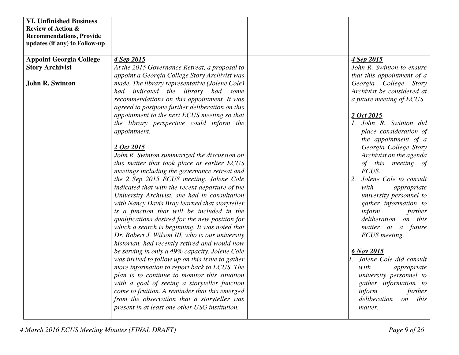| <b>VI. Unfinished Business</b><br><b>Review of Action &amp;</b> |                                                                                                   |                                        |
|-----------------------------------------------------------------|---------------------------------------------------------------------------------------------------|----------------------------------------|
| <b>Recommendations, Provide</b>                                 |                                                                                                   |                                        |
| updates (if any) to Follow-up                                   |                                                                                                   |                                        |
|                                                                 |                                                                                                   |                                        |
| <b>Appoint Georgia College</b>                                  | 4 Sep 2015                                                                                        | 4 Sep 2015                             |
| <b>Story Archivist</b>                                          | At the 2015 Governance Retreat, a proposal to                                                     | John R. Swinton to ensure              |
|                                                                 | appoint a Georgia College Story Archivist was                                                     | that this appointment of a             |
| <b>John R. Swinton</b>                                          | made. The library representative (Jolene Cole)                                                    | Georgia College Story                  |
|                                                                 | had indicated the library had some                                                                | Archivist be considered at             |
|                                                                 | recommendations on this appointment. It was                                                       | a future meeting of ECUS.              |
|                                                                 | agreed to postpone further deliberation on this                                                   |                                        |
|                                                                 | appointment to the next ECUS meeting so that                                                      | 2 Oct 2015                             |
|                                                                 | the library perspective could inform the                                                          | 1. John R. Swinton did                 |
|                                                                 | appointment.                                                                                      | place consideration of                 |
|                                                                 |                                                                                                   | the appointment of a                   |
|                                                                 | 2 Oct 2015<br>John R. Swinton summarized the discussion on                                        | Georgia College Story                  |
|                                                                 |                                                                                                   | Archivist on the agenda                |
|                                                                 | this matter that took place at earlier ECUS                                                       | of this meeting of<br>ECUS.            |
|                                                                 | meetings including the governance retreat and                                                     | Jolene Cole to consult<br>2.           |
|                                                                 | the 2 Sep 2015 ECUS meeting. Jolene Cole                                                          |                                        |
|                                                                 | indicated that with the recent departure of the                                                   | with<br>appropriate                    |
|                                                                 | University Archivist, she had in consultation                                                     | university personnel to                |
|                                                                 | with Nancy Davis Bray learned that storyteller                                                    | gather information to<br>inform        |
|                                                                 | is a function that will be included in the                                                        | further<br>deliberation on this        |
|                                                                 | qualifications desired for the new position for                                                   |                                        |
|                                                                 | which a search is beginning. It was noted that<br>Dr. Robert J. Wilson III, who is our university | matter at a future<br>ECUS meeting.    |
|                                                                 | historian, had recently retired and would now                                                     |                                        |
|                                                                 | be serving in only a 49% capacity. Jolene Cole                                                    | 6 Nov 2015                             |
|                                                                 | was invited to follow up on this issue to gather                                                  | 1. Jolene Cole did consult             |
|                                                                 | more information to report back to ECUS. The                                                      | with                                   |
|                                                                 | plan is to continue to monitor this situation                                                     | appropriate<br>university personnel to |
|                                                                 | with a goal of seeing a storyteller function                                                      | gather information to                  |
|                                                                 | come to fruition. A reminder that this emerged                                                    | inform<br>further                      |
|                                                                 | from the observation that a storyteller was                                                       | deliberation<br>this<br><i>on</i>      |
|                                                                 | present in at least one other USG institution.                                                    | matter.                                |
|                                                                 |                                                                                                   |                                        |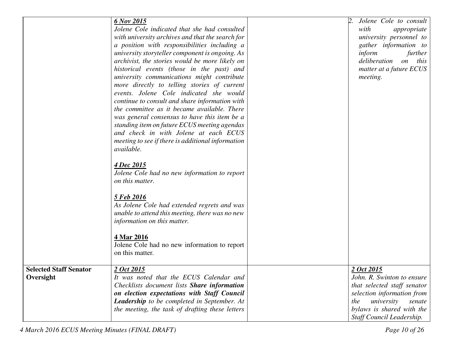|                                            | 6 Nov 2015<br>Jolene Cole indicated that she had consulted<br>with university archives and that the search for<br>a position with responsibilities including a<br>university storyteller component is ongoing. As<br>archivist, the stories would be more likely on<br>historical events (those in the past) and<br>university communications might contribute<br>more directly to telling stories of current<br>events. Jolene Cole indicated she would<br>continue to consult and share information with<br>the committee as it became available. There<br>was general consensus to have this item be a<br>standing item on future ECUS meeting agendas<br>and check in with Jolene at each ECUS<br>meeting to see if there is additional information<br>available.<br><u>4 Dec 2015</u><br>Jolene Cole had no new information to report | 2. Jolene Cole to consult<br>with<br>appropriate<br>university personnel to<br>gather information to<br>inform<br>further<br>deliberation on this<br>matter at a future ECUS<br><i>meeting.</i> |
|--------------------------------------------|--------------------------------------------------------------------------------------------------------------------------------------------------------------------------------------------------------------------------------------------------------------------------------------------------------------------------------------------------------------------------------------------------------------------------------------------------------------------------------------------------------------------------------------------------------------------------------------------------------------------------------------------------------------------------------------------------------------------------------------------------------------------------------------------------------------------------------------------|-------------------------------------------------------------------------------------------------------------------------------------------------------------------------------------------------|
| <b>Selected Staff Senator</b><br>Oversight | 5 Feb 2016<br>As Jolene Cole had extended regrets and was<br>unable to attend this meeting, there was no new<br>information on this matter.<br>4 Mar 2016<br>Jolene Cole had no new information to report<br>on this matter.<br><u>2 Oct 2015</u><br>It was noted that the ECUS Calendar and<br>Checklists document lists Share information<br>on election expectations with Staff Council                                                                                                                                                                                                                                                                                                                                                                                                                                                 | <u>2 Oct 2015</u><br>John. R. Swinton to ensure<br>that selected staff senator<br>selection information from                                                                                    |
|                                            | <b>Leadership</b> to be completed in September. At<br>the meeting, the task of drafting these letters                                                                                                                                                                                                                                                                                                                                                                                                                                                                                                                                                                                                                                                                                                                                      | the<br>university<br>senate<br>bylaws is shared with the<br><b>Staff Council Leadership.</b>                                                                                                    |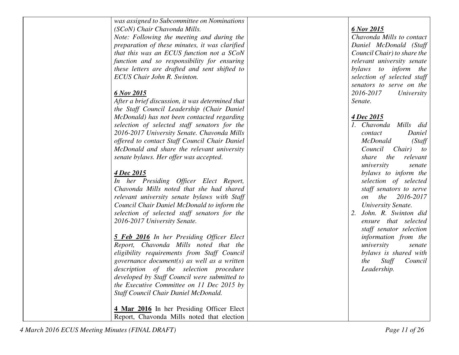| was assigned to Subcommittee on Nominations |
|---------------------------------------------|
| (SCoN) Chair Chavonda Mills.                |

 *Note: Following the meeting and during the preparation of these minutes, it was clarified that this was an ECUS function not a SCoN function and so responsibility for ensuring these letters are drafted and sent shifted to ECUS Chair John R. Swinton.* 

### *6 Nov 2015*

 *After a brief discussion, it was determined that the Staff Council Leadership (Chair Daniel McDonald) has not been contacted regarding selection of selected staff senators for the 2016-2017 University Senate. Chavonda Mills offered to contact Staff Council Chair Daniel McDonald and share the relevant university senate bylaws. Her offer was accepted*.

### *4 Dec 2015*

 *In her Presiding Officer Elect Report, Chavonda Mills noted that she had shared relevant university senate bylaws with Staff Council Chair Daniel McDonald to inform the selection of selected staff senators for the 2016-2017 University Senate.* 

*5 Feb 2016 In her Presiding Officer Elect Report, Chavonda Mills noted that the eligibility requirements from Staff Council governance document(s) as well as a written description of the selection procedure developed by Staff Council were submitted to the Executive Committee on 11 Dec 2015 by Staff Council Chair Daniel McDonald.* 

**4 Mar 2016** In her Presiding Officer Elect Report, Chavonda Mills noted that election

### *6 Nov 2015*

 *Chavonda Mills to contact Daniel McDonald (Staff Council Chair) to share the relevant university senate bylaws to inform the selection of selected staff senators to serve on the 2016-2017 University Senate.* 

# *4 Dec 2015*

- *1. Chavonda Mills did contact Daniel*  $(Staff)$ *McDonald Council Chair) to share the relevant university senate bylaws to inform the selection of selected staff senators to serve on the 2016-2017 University Senate.*
- *2. John. R. Swinton did ensure that selected staff senator selection information from the university senate bylaws is shared with the Staff Council Leadership.*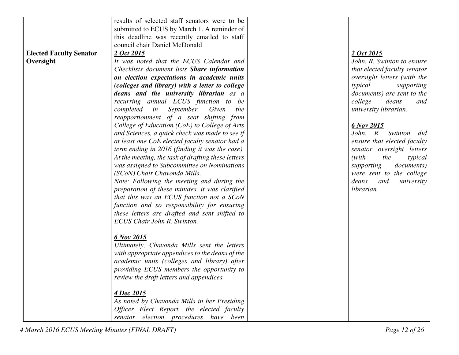|                                | results of selected staff senators were to be                    |                                  |
|--------------------------------|------------------------------------------------------------------|----------------------------------|
|                                | submitted to ECUS by March 1. A reminder of                      |                                  |
|                                | this deadline was recently emailed to staff                      |                                  |
|                                | council chair Daniel McDonald                                    |                                  |
| <b>Elected Faculty Senator</b> | 2 Oct 2015                                                       | 2 Oct 2015                       |
| Oversight                      | It was noted that the ECUS Calendar and                          | John. R. Swinton to ensure       |
|                                | Checklists document lists Share information                      | that elected faculty senator     |
|                                | on election expectations in academic units                       | oversight letters (with the      |
|                                | (colleges and library) with a letter to college                  | typical<br>supporting            |
|                                | deans and the university librarian as a                          | documents) are sent to the       |
|                                | recurring annual ECUS function to be                             | college<br>deans<br>and          |
|                                | completed<br>in September. Given<br>the                          | university librarian.            |
|                                | reapportionment of a seat shifting from                          |                                  |
|                                | College of Education (CoE) to College of Arts                    | 6 Nov 2015                       |
|                                | and Sciences, a quick check was made to see if                   | John. R. Swinton did             |
|                                | at least one CoE elected faculty senator had a                   | ensure that elected faculty      |
|                                | term ending in 2016 (finding it was the case).                   | senator oversight letters        |
|                                | At the meeting, the task of drafting these letters               | (with)<br>the<br>typical         |
|                                | was assigned to Subcommittee on Nominations                      | supporting<br><i>documents</i> ) |
|                                | (SCoN) Chair Chavonda Mills.                                     | were sent to the college         |
|                                | Note: Following the meeting and during the                       | deans<br>and<br>university       |
|                                | preparation of these minutes, it was clarified                   | librarian.                       |
|                                | that this was an ECUS function not a SCoN                        |                                  |
|                                | function and so responsibility for ensuring                      |                                  |
|                                | these letters are drafted and sent shifted to                    |                                  |
|                                | ECUS Chair John R. Swinton.                                      |                                  |
|                                |                                                                  |                                  |
|                                | 6 Nov 2015                                                       |                                  |
|                                | Ultimately, Chavonda Mills sent the letters                      |                                  |
|                                | with appropriate appendices to the deans of the                  |                                  |
|                                | academic units (colleges and library) after                      |                                  |
|                                | providing ECUS members the opportunity to                        |                                  |
|                                | review the draft letters and appendices.                         |                                  |
|                                |                                                                  |                                  |
|                                | <u>4 Dec 2015</u><br>As noted by Chavonda Mills in her Presiding |                                  |
|                                |                                                                  |                                  |
|                                | Officer Elect Report, the elected faculty                        |                                  |
|                                | senator election procedures have been                            |                                  |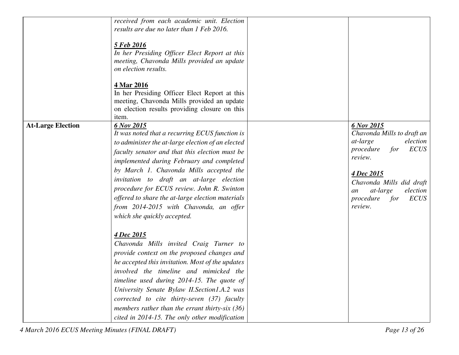|                          | received from each academic unit. Election<br>results are due no later than 1 Feb 2016.<br>5 Feb 2016<br>In her Presiding Officer Elect Report at this<br>meeting, Chavonda Mills provided an update<br>on election results.<br>4 Mar 2016<br>In her Presiding Officer Elect Report at this<br>meeting, Chavonda Mills provided an update<br>on election results providing closure on this                                                                                                  |                                                                                                                                                                                                                                             |
|--------------------------|---------------------------------------------------------------------------------------------------------------------------------------------------------------------------------------------------------------------------------------------------------------------------------------------------------------------------------------------------------------------------------------------------------------------------------------------------------------------------------------------|---------------------------------------------------------------------------------------------------------------------------------------------------------------------------------------------------------------------------------------------|
| <b>At-Large Election</b> | item.<br>6 Nov 2015<br>It was noted that a recurring ECUS function is<br>to administer the at-large election of an elected<br>faculty senator and that this election must be<br>implemented during February and completed<br>by March 1. Chavonda Mills accepted the<br>invitation to draft an at-large election<br>procedure for ECUS review. John R. Swinton<br>offered to share the at-large election materials<br>from 2014-2015 with Chavonda, an offer<br>which she quickly accepted. | 6 Nov 2015<br>Chavonda Mills to draft an<br>at-large<br>election<br><b>ECUS</b><br>procedure<br>for<br>review.<br><u>4 Dec 2015</u><br>Chavonda Mills did draft<br>at-large<br>election<br>an<br>procedure<br><b>ECUS</b><br>for<br>review. |
|                          | 4 Dec 2015<br>Chavonda Mills invited Craig Turner to<br>provide context on the proposed changes and<br>he accepted this invitation. Most of the updates<br>involved the timeline and mimicked the<br>timeline used during 2014-15. The quote of<br>University Senate Bylaw II. Section 1.A.2 was<br>corrected to cite thirty-seven (37) faculty<br>members rather than the errant thirty-six $(36)$<br>cited in 2014-15. The only other modification                                        |                                                                                                                                                                                                                                             |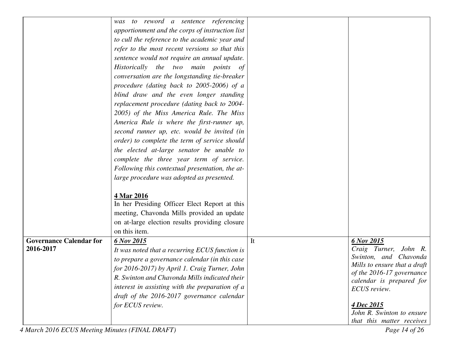|                                | was to reword a sentence referencing            |    |                                                |
|--------------------------------|-------------------------------------------------|----|------------------------------------------------|
|                                | apportionment and the corps of instruction list |    |                                                |
|                                | to cull the reference to the academic year and  |    |                                                |
|                                | refer to the most recent versions so that this  |    |                                                |
|                                | sentence would not require an annual update.    |    |                                                |
|                                | Historically the two main points of             |    |                                                |
|                                | conversation are the longstanding tie-breaker   |    |                                                |
|                                | procedure (dating back to 2005-2006) of a       |    |                                                |
|                                | blind draw and the even longer standing         |    |                                                |
|                                | replacement procedure (dating back to 2004-     |    |                                                |
|                                | 2005) of the Miss America Rule. The Miss        |    |                                                |
|                                | America Rule is where the first-runner up,      |    |                                                |
|                                | second runner up, etc. would be invited (in     |    |                                                |
|                                | order) to complete the term of service should   |    |                                                |
|                                | the elected at-large senator be unable to       |    |                                                |
|                                | complete the three year term of service.        |    |                                                |
|                                | Following this contextual presentation, the at- |    |                                                |
|                                | large procedure was adopted as presented.       |    |                                                |
|                                |                                                 |    |                                                |
|                                | 4 Mar 2016                                      |    |                                                |
|                                | In her Presiding Officer Elect Report at this   |    |                                                |
|                                | meeting, Chavonda Mills provided an update      |    |                                                |
|                                | on at-large election results providing closure  |    |                                                |
|                                | on this item.                                   |    |                                                |
| <b>Governance Calendar for</b> | 6 Nov 2015                                      | It | 6 Nov 2015                                     |
| 2016-2017                      | It was noted that a recurring ECUS function is  |    | Craig Turner, John R.<br>Swinton, and Chavonda |
|                                | to prepare a governance calendar (in this case  |    | Mills to ensure that a draft                   |
|                                | for 2016-2017) by April 1. Craig Turner, John   |    | of the 2016-17 governance                      |
|                                | R. Swinton and Chavonda Mills indicated their   |    | calendar is prepared for                       |
|                                | interest in assisting with the preparation of a |    | ECUS review.                                   |
|                                | draft of the 2016-2017 governance calendar      |    | 4 Dec 2015                                     |
|                                | for ECUS review.                                |    | John R. Swinton to ensure                      |
|                                |                                                 |    | that this matter receives                      |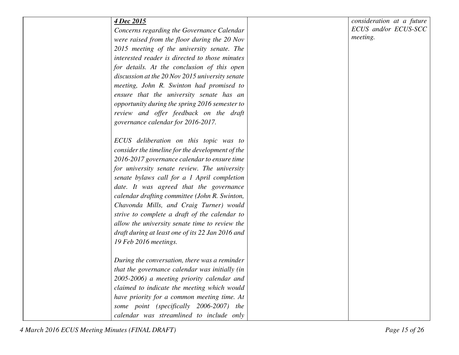| 4 Dec 2015                                       | consideration at a future |
|--------------------------------------------------|---------------------------|
| Concerns regarding the Governance Calendar       | ECUS and/or ECUS-SCC      |
| were raised from the floor during the 20 Nov     | meeting.                  |
| 2015 meeting of the university senate. The       |                           |
| interested reader is directed to those minutes   |                           |
| for details. At the conclusion of this open      |                           |
| discussion at the 20 Nov 2015 university senate  |                           |
| meeting, John R. Swinton had promised to         |                           |
| ensure that the university senate has an         |                           |
| opportunity during the spring 2016 semester to   |                           |
| review and offer feedback on the draft           |                           |
| governance calendar for 2016-2017.               |                           |
|                                                  |                           |
| ECUS deliberation on this topic was to           |                           |
| consider the timeline for the development of the |                           |
| 2016-2017 governance calendar to ensure time     |                           |
| for university senate review. The university     |                           |
| senate bylaws call for a 1 April completion      |                           |
| date. It was agreed that the governance          |                           |
| calendar drafting committee (John R. Swinton,    |                           |
| Chavonda Mills, and Craig Turner) would          |                           |
| strive to complete a draft of the calendar to    |                           |
| allow the university senate time to review the   |                           |
| draft during at least one of its 22 Jan 2016 and |                           |
| 19 Feb 2016 meetings.                            |                           |
|                                                  |                           |
| During the conversation, there was a reminder    |                           |
| that the governance calendar was initially (in   |                           |
| 2005-2006) a meeting priority calendar and       |                           |
| claimed to indicate the meeting which would      |                           |
| have priority for a common meeting time. At      |                           |
| some point (specifically 2006-2007) the          |                           |
| calendar was streamlined to include only         |                           |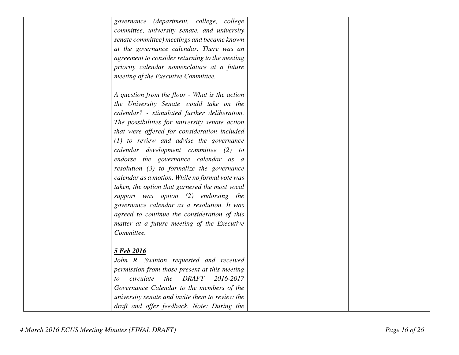| governance (department, college, college            |  |
|-----------------------------------------------------|--|
| committee, university senate, and university        |  |
| senate committee) meetings and became known         |  |
| at the governance calendar. There was an            |  |
| agreement to consider returning to the meeting      |  |
| priority calendar nomenclature at a future          |  |
| meeting of the Executive Committee.                 |  |
|                                                     |  |
| A question from the floor - What is the action      |  |
| the University Senate would take on the             |  |
| calendar? - stimulated further deliberation.        |  |
| The possibilities for university senate action      |  |
| that were offered for consideration included        |  |
| $(1)$ to review and advise the governance           |  |
| calendar development committee (2) to               |  |
| endorse the governance calendar as a                |  |
| resolution $(3)$ to formalize the governance        |  |
| calendar as a motion. While no formal vote was      |  |
| taken, the option that garnered the most vocal      |  |
| support was option (2) endorsing the                |  |
| governance calendar as a resolution. It was         |  |
| agreed to continue the consideration of this        |  |
| matter at a future meeting of the Executive         |  |
| Committee.                                          |  |
|                                                     |  |
| 5 Feb 2016                                          |  |
| John R. Swinton requested and received              |  |
| permission from those present at this meeting       |  |
| <b>DRAFT</b><br>2016-2017<br>circulate<br>the<br>to |  |
| Governance Calendar to the members of the           |  |
| university senate and invite them to review the     |  |
| draft and offer feedback. Note: During the          |  |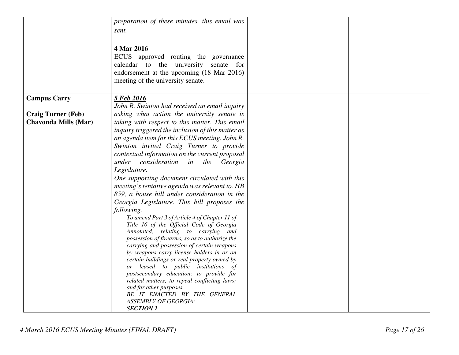|                             | preparation of these minutes, this email was      |  |
|-----------------------------|---------------------------------------------------|--|
|                             | sent.                                             |  |
|                             |                                                   |  |
|                             |                                                   |  |
|                             | 4 Mar 2016                                        |  |
|                             | ECUS approved routing the governance              |  |
|                             | calendar to the university<br>senate<br>for       |  |
|                             | endorsement at the upcoming (18 Mar 2016)         |  |
|                             | meeting of the university senate.                 |  |
|                             |                                                   |  |
| <b>Campus Carry</b>         | 5 Feb 2016                                        |  |
|                             | John R. Swinton had received an email inquiry     |  |
| <b>Craig Turner (Feb)</b>   | asking what action the university senate is       |  |
| <b>Chavonda Mills (Mar)</b> |                                                   |  |
|                             | taking with respect to this matter. This email    |  |
|                             | inquiry triggered the inclusion of this matter as |  |
|                             | an agenda item for this ECUS meeting. John R.     |  |
|                             | Swinton invited Craig Turner to provide           |  |
|                             | contextual information on the current proposal    |  |
|                             | under consideration in the Georgia                |  |
|                             | Legislature.                                      |  |
|                             | One supporting document circulated with this      |  |
|                             | meeting's tentative agenda was relevant to. HB    |  |
|                             | 859, a house bill under consideration in the      |  |
|                             | Georgia Legislature. This bill proposes the       |  |
|                             | following.                                        |  |
|                             | To amend Part 3 of Article 4 of Chapter 11 of     |  |
|                             | Title 16 of the Official Code of Georgia          |  |
|                             | Annotated, relating to carrying and               |  |
|                             | possession of firearms, so as to authorize the    |  |
|                             | carrying and possession of certain weapons        |  |
|                             | by weapons carry license holders in or on         |  |
|                             | certain buildings or real property owned by       |  |
|                             | or leased to public institutions of               |  |
|                             | postsecondary education; to provide for           |  |
|                             | related matters; to repeal conflicting laws;      |  |
|                             | and for other purposes.                           |  |
|                             | BE IT ENACTED BY THE GENERAL                      |  |
|                             | <b>ASSEMBLY OF GEORGIA:</b><br><b>SECTION 1.</b>  |  |
|                             |                                                   |  |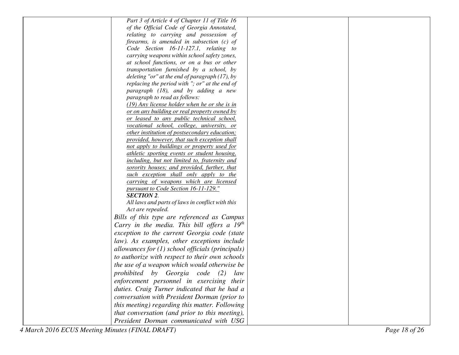| Part 3 of Article 4 of Chapter 11 of Title 16                                               |  |
|---------------------------------------------------------------------------------------------|--|
| of the Official Code of Georgia Annotated,                                                  |  |
| relating to carrying and possession of                                                      |  |
| firearms, is amended in subsection $(c)$ of                                                 |  |
| Code Section 16-11-127.1, relating to                                                       |  |
| carrying weapons within school safety zones,                                                |  |
| at school functions, or on a bus or other                                                   |  |
| transportation furnished by a school, by                                                    |  |
| deleting "or" at the end of paragraph $(17)$ , by                                           |  |
| replacing the period with "; or" at the end of                                              |  |
| paragraph (18), and by adding a new                                                         |  |
| paragraph to read as follows:                                                               |  |
| $(19)$ Any license holder when he or she is in                                              |  |
| or on any building or real property owned by                                                |  |
| or leased to any public technical school,                                                   |  |
| vocational school, college, university, or                                                  |  |
| other institution of postsecondary education;                                               |  |
| provided, however, that such exception shall                                                |  |
| not apply to buildings or property used for<br>athletic sporting events or student housing, |  |
| including, but not limited to, fraternity and                                               |  |
| sorority houses; and provided, further, that                                                |  |
| such exception shall only apply to the                                                      |  |
| carrying of weapons which are licensed                                                      |  |
| pursuant to Code Section 16-11-129."                                                        |  |
| <b>SECTION 2.</b>                                                                           |  |
| All laws and parts of laws in conflict with this                                            |  |
| Act are repealed.                                                                           |  |
| Bills of this type are referenced as Campus                                                 |  |
| Carry in the media. This bill offers a $19^{th}$                                            |  |
| exception to the current Georgia code (state                                                |  |
| law). As examples, other exceptions include                                                 |  |
| allowances for $(1)$ school officials (principals)                                          |  |
| to authorize with respect to their own schools                                              |  |
| the use of a weapon which would otherwise be                                                |  |
|                                                                                             |  |
| prohibited by Georgia code<br>(2)<br>law                                                    |  |
| enforcement personnel in exercising their                                                   |  |
| duties. Craig Turner indicated that he had a                                                |  |
| conversation with President Dorman (prior to                                                |  |
| this meeting) regarding this matter. Following                                              |  |
| that conversation (and prior to this meeting),                                              |  |
| President Dorman communicated with USG                                                      |  |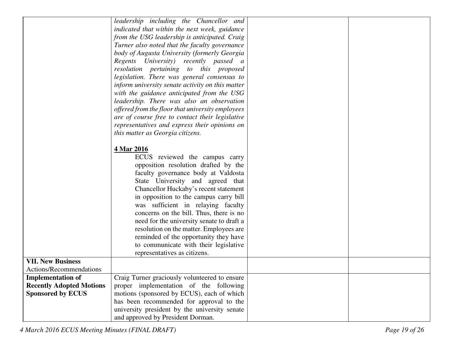|                                 | leadership including the Chancellor and          |  |
|---------------------------------|--------------------------------------------------|--|
|                                 | indicated that within the next week, guidance    |  |
|                                 | from the USG leadership is anticipated. Craig    |  |
|                                 | Turner also noted that the faculty governance    |  |
|                                 | body of Augusta University (formerly Georgia     |  |
|                                 | Regents University) recently passed a            |  |
|                                 | resolution pertaining to this proposed           |  |
|                                 | legislation. There was general consensus to      |  |
|                                 | inform university senate activity on this matter |  |
|                                 | with the guidance anticipated from the USG       |  |
|                                 | leadership. There was also an observation        |  |
|                                 | offered from the floor that university employees |  |
|                                 | are of course free to contact their legislative  |  |
|                                 | representatives and express their opinions on    |  |
|                                 | this matter as Georgia citizens.                 |  |
|                                 |                                                  |  |
|                                 | 4 Mar 2016                                       |  |
|                                 | ECUS reviewed the campus carry                   |  |
|                                 | opposition resolution drafted by the             |  |
|                                 | faculty governance body at Valdosta              |  |
|                                 | State University and agreed that                 |  |
|                                 | Chancellor Huckaby's recent statement            |  |
|                                 | in opposition to the campus carry bill           |  |
|                                 | was sufficient in relaying faculty               |  |
|                                 | concerns on the bill. Thus, there is no          |  |
|                                 | need for the university senate to draft a        |  |
|                                 | resolution on the matter. Employees are          |  |
|                                 | reminded of the opportunity they have            |  |
|                                 | to communicate with their legislative            |  |
|                                 | representatives as citizens.                     |  |
| <b>VII. New Business</b>        |                                                  |  |
| Actions/Recommendations         |                                                  |  |
| <b>Implementation of</b>        | Craig Turner graciously volunteered to ensure    |  |
| <b>Recently Adopted Motions</b> | proper implementation of the following           |  |
| <b>Sponsored by ECUS</b>        | motions (sponsored by ECUS), each of which       |  |
|                                 | has been recommended for approval to the         |  |
|                                 | university president by the university senate    |  |
|                                 | and approved by President Dorman.                |  |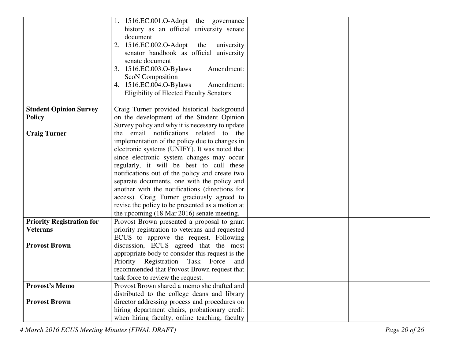|                                  | 1. 1516.EC.001.O-Adopt the governance            |  |
|----------------------------------|--------------------------------------------------|--|
|                                  | history as an official university senate         |  |
|                                  | document                                         |  |
|                                  |                                                  |  |
|                                  | 2. 1516.EC.002.O-Adopt<br>the<br>university      |  |
|                                  | senator handbook as official university          |  |
|                                  | senate document                                  |  |
|                                  | 3. 1516.EC.003.O-Bylaws<br>Amendment:            |  |
|                                  | <b>ScoN Composition</b>                          |  |
|                                  | 4. 1516.EC.004.O-Bylaws<br>Amendment:            |  |
|                                  | <b>Eligibility of Elected Faculty Senators</b>   |  |
|                                  |                                                  |  |
| <b>Student Opinion Survey</b>    | Craig Turner provided historical background      |  |
| <b>Policy</b>                    | on the development of the Student Opinion        |  |
|                                  | Survey policy and why it is necessary to update  |  |
| <b>Craig Turner</b>              | the email notifications related to the           |  |
|                                  | implementation of the policy due to changes in   |  |
|                                  | electronic systems (UNIFY). It was noted that    |  |
|                                  | since electronic system changes may occur        |  |
|                                  | regularly, it will be best to cull these         |  |
|                                  | notifications out of the policy and create two   |  |
|                                  | separate documents, one with the policy and      |  |
|                                  | another with the notifications (directions for   |  |
|                                  | access). Craig Turner graciously agreed to       |  |
|                                  | revise the policy to be presented as a motion at |  |
|                                  | the upcoming (18 Mar 2016) senate meeting.       |  |
| <b>Priority Registration for</b> | Provost Brown presented a proposal to grant      |  |
| <b>Veterans</b>                  | priority registration to veterans and requested  |  |
|                                  | ECUS to approve the request. Following           |  |
| <b>Provost Brown</b>             | discussion, ECUS agreed that the most            |  |
|                                  | appropriate body to consider this request is the |  |
|                                  | Priority Registration Task Force<br>and          |  |
|                                  | recommended that Provost Brown request that      |  |
|                                  | task force to review the request.                |  |
| <b>Provost's Memo</b>            | Provost Brown shared a memo she drafted and      |  |
|                                  | distributed to the college deans and library     |  |
| <b>Provost Brown</b>             | director addressing process and procedures on    |  |
|                                  | hiring department chairs, probationary credit    |  |
|                                  | when hiring faculty, online teaching, faculty    |  |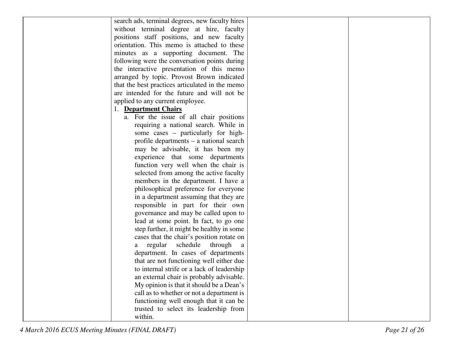| search ads, terminal degrees, new faculty hires |  |
|-------------------------------------------------|--|
| without terminal degree at hire, faculty        |  |
| positions staff positions, and new faculty      |  |
| orientation. This memo is attached to these     |  |
| minutes as a supporting document. The           |  |
| following were the conversation points during   |  |
| the interactive presentation of this memo       |  |
| arranged by topic. Provost Brown indicated      |  |
| that the best practices articulated in the memo |  |
| are intended for the future and will not be     |  |
| applied to any current employee.                |  |
| 1. Department Chairs                            |  |
| a. For the issue of all chair positions         |  |
| requiring a national search. While in           |  |
| some cases – particularly for high-             |  |
| profile departments $-$ a national search       |  |
| may be advisable, it has been my                |  |
| experience that some departments                |  |
| function very well when the chair is            |  |
| selected from among the active faculty          |  |
| members in the department. I have a             |  |
| philosophical preference for everyone           |  |
| in a department assuming that they are          |  |
| responsible in part for their own               |  |
| governance and may be called upon to            |  |
| lead at some point. In fact, to go one          |  |
| step further, it might be healthy in some       |  |
| cases that the chair's position rotate on       |  |
| regular schedule through<br>a<br>a              |  |
| department. In cases of departments             |  |
| that are not functioning well either due        |  |
| to internal strife or a lack of leadership      |  |
| an external chair is probably advisable.        |  |
| My opinion is that it should be a Dean's        |  |
| call as to whether or not a department is       |  |
| functioning well enough that it can be          |  |
| trusted to select its leadership from           |  |
| within.                                         |  |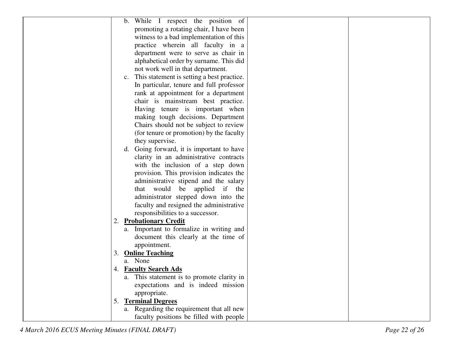|    | While I respect the position of<br>$\mathbf{b}$ .            |
|----|--------------------------------------------------------------|
|    | promoting a rotating chair, I have been                      |
|    | witness to a bad implementation of this                      |
|    | practice wherein all faculty in a                            |
|    | department were to serve as chair in                         |
|    | alphabetical order by surname. This did                      |
|    | not work well in that department.                            |
|    | This statement is setting a best practice.<br>$\mathbf{c}$ . |
|    | In particular, tenure and full professor                     |
|    | rank at appointment for a department                         |
|    | chair is mainstream best practice.                           |
|    | Having tenure is important when                              |
|    | making tough decisions. Department                           |
|    | Chairs should not be subject to review                       |
|    | (for tenure or promotion) by the faculty                     |
|    | they supervise.                                              |
|    | d. Going forward, it is important to have                    |
|    | clarity in an administrative contracts                       |
|    | with the inclusion of a step down                            |
|    | provision. This provision indicates the                      |
|    | administrative stipend and the salary                        |
|    | that would be applied if<br>the                              |
|    | administrator stepped down into the                          |
|    | faculty and resigned the administrative                      |
|    | responsibilities to a successor.                             |
| 2. | <b>Probationary Credit</b>                                   |
|    | a. Important to formalize in writing and                     |
|    | document this clearly at the time of                         |
|    | appointment.                                                 |
| 3. | <b>Online Teaching</b>                                       |
|    | a. None                                                      |
|    | <b>Faculty Search Ads</b>                                    |
|    | a. This statement is to promote clarity in                   |
|    | expectations and is indeed mission                           |
|    | appropriate.                                                 |
| 5. | <b>Terminal Degrees</b>                                      |
|    | a. Regarding the requirement that all new                    |
|    | faculty positions be filled with people                      |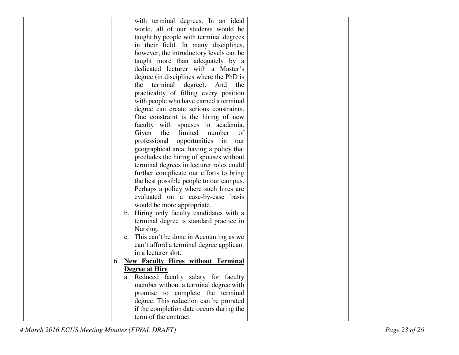| with terminal degrees. In an ideal              |
|-------------------------------------------------|
| world, all of our students would be             |
| taught by people with terminal degrees          |
| in their field. In many disciplines,            |
|                                                 |
| however, the introductory levels can be         |
| taught more than adequately by a                |
| dedicated lecturer with a Master's              |
| degree (in disciplines where the PhD is         |
| the<br>terminal degree). And the                |
| practicality of filling every position          |
| with people who have earned a terminal          |
| degree can create serious constraints.          |
| One constraint is the hiring of new             |
| faculty with spouses in academia.               |
| Given<br>the<br>limited<br>number<br>of         |
| professional opportunities in<br>our            |
| geographical area, having a policy that         |
| precludes the hiring of spouses without         |
| terminal degrees in lecturer roles could        |
| further complicate our efforts to bring         |
| the best possible people to our campus.         |
| Perhaps a policy where such hires are           |
| evaluated on a case-by-case basis               |
| would be more appropriate.                      |
| Hiring only faculty candidates with a<br>b.     |
| terminal degree is standard practice in         |
| Nursing.                                        |
| c. This can't be done in Accounting as we       |
| can't afford a terminal degree applicant        |
| in a lecturer slot.                             |
| <b>New Faculty Hires without Terminal</b><br>6. |
| <b>Degree at Hire</b>                           |
| Reduced faculty salary for faculty              |
| member without a terminal degree with           |
| promise to complete the terminal                |
| degree. This reduction can be prorated          |
| if the completion date occurs during the        |
| term of the contract.                           |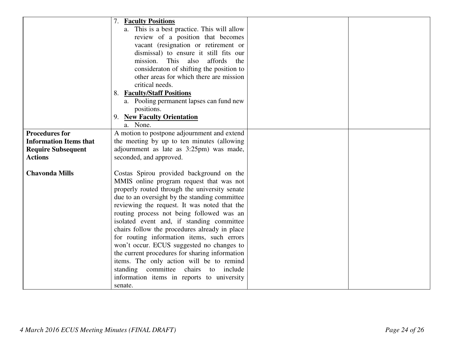|                               | 7.<br><b>Faculty Positions</b>                 |  |
|-------------------------------|------------------------------------------------|--|
|                               | a. This is a best practice. This will allow    |  |
|                               | review of a position that becomes              |  |
|                               | vacant (resignation or retirement or           |  |
|                               | dismissal) to ensure it still fits our         |  |
|                               | affords<br>mission.<br>This<br>also<br>the     |  |
|                               | consideraton of shifting the position to       |  |
|                               | other areas for which there are mission        |  |
|                               | critical needs.                                |  |
|                               | <b>Faculty/Staff Positions</b><br>8.           |  |
|                               | a. Pooling permanent lapses can fund new       |  |
|                               | positions.                                     |  |
|                               | 9. New Faculty Orientation                     |  |
|                               | a. None.                                       |  |
| <b>Procedures for</b>         | A motion to postpone adjournment and extend    |  |
| <b>Information Items that</b> | the meeting by up to ten minutes (allowing     |  |
| <b>Require Subsequent</b>     | adjournment as late as 3:25pm) was made,       |  |
| <b>Actions</b>                | seconded, and approved.                        |  |
|                               |                                                |  |
| <b>Chavonda Mills</b>         | Costas Spirou provided background on the       |  |
|                               | MMIS online program request that was not       |  |
|                               | properly routed through the university senate  |  |
|                               | due to an oversight by the standing committee  |  |
|                               | reviewing the request. It was noted that the   |  |
|                               | routing process not being followed was an      |  |
|                               | isolated event and, if standing committee      |  |
|                               | chairs follow the procedures already in place  |  |
|                               | for routing information items, such errors     |  |
|                               | won't occur. ECUS suggested no changes to      |  |
|                               | the current procedures for sharing information |  |
|                               | items. The only action will be to remind       |  |
|                               | standing committee chairs to include           |  |
|                               | information items in reports to university     |  |
|                               | senate.                                        |  |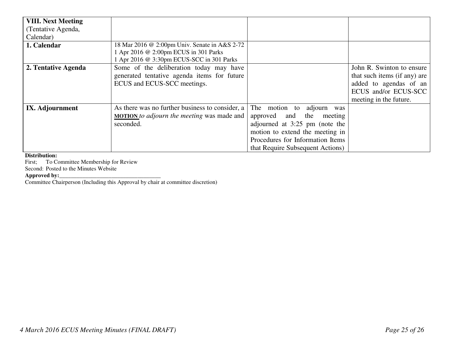| <b>VIII. Next Meeting</b> |                                                   |                                  |                              |
|---------------------------|---------------------------------------------------|----------------------------------|------------------------------|
| (Tentative Agenda,        |                                                   |                                  |                              |
| Calendar)                 |                                                   |                                  |                              |
| 1. Calendar               | 18 Mar 2016 @ 2:00pm Univ. Senate in A&S 2-72     |                                  |                              |
|                           | 1 Apr 2016 @ 2:00pm ECUS in 301 Parks             |                                  |                              |
|                           | 1 Apr 2016 @ 3:30pm ECUS-SCC in 301 Parks         |                                  |                              |
| 2. Tentative Agenda       | Some of the deliberation today may have           |                                  | John R. Swinton to ensure    |
|                           | generated tentative agenda items for future       |                                  | that such items (if any) are |
|                           | ECUS and ECUS-SCC meetings.                       |                                  | added to agendas of an       |
|                           |                                                   |                                  | ECUS and/or ECUS-SCC         |
|                           |                                                   |                                  | meeting in the future.       |
| IX. Adjournment           | As there was no further business to consider, a   | The motion to adjourn was        |                              |
|                           | <b>MOTION</b> to adjourn the meeting was made and | approved and the meeting         |                              |
|                           | seconded.                                         | adjourned at 3:25 pm (note the   |                              |
|                           |                                                   | motion to extend the meeting in  |                              |
|                           |                                                   | Procedures for Information Items |                              |
|                           |                                                   | that Require Subsequent Actions) |                              |

**Distribution:** 

First; To Committee Membership for Review

Second: Posted to the Minutes Website

**Approved by:**<br>Committee Chairperson (Including this Approval by chair at committee discretion)